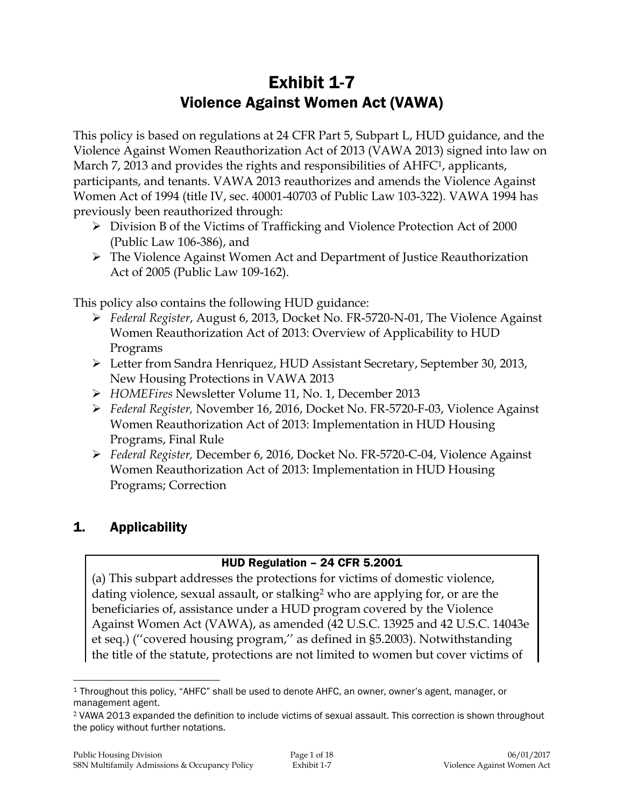# Exhibit 1-7 Violence Against Women Act (VAWA)

This policy is based on regulations at 24 CFR Part 5, Subpart L, HUD guidance, and the Violence Against Women Reauthorization Act of 2013 (VAWA 2013) signed into law on March 7, 2013 and provides the rights and responsibilities of AHFC<sup>1</sup>, applicants, participants, and tenants. VAWA 2013 reauthorizes and amends the Violence Against Women Act of 1994 (title IV, sec. 40001-40703 of Public Law 103-322). VAWA 1994 has previously been reauthorized through:

- Division B of the Victims of Trafficking and Violence Protection Act of 2000 (Public Law 106-386), and
- The Violence Against Women Act and Department of Justice Reauthorization Act of 2005 (Public Law 109-162).

This policy also contains the following HUD guidance:

- *Federal Register*, August 6, 2013, Docket No. FR-5720-N-01, The Violence Against Women Reauthorization Act of 2013: Overview of Applicability to HUD Programs
- Letter from Sandra Henriquez, HUD Assistant Secretary, September 30, 2013, New Housing Protections in VAWA 2013
- *HOMEFires* Newsletter Volume 11, No. 1, December 2013
- *Federal Register,* November 16, 2016, Docket No. FR-5720-F-03, Violence Against Women Reauthorization Act of 2013: Implementation in HUD Housing Programs, Final Rule
- *Federal Register,* December 6, 2016, Docket No. FR-5720-C-04, Violence Against Women Reauthorization Act of 2013: Implementation in HUD Housing Programs; Correction

# 1. Applicability

# HUD Regulation – 24 CFR 5.2001

(a) This subpart addresses the protections for victims of domestic violence, dating violence, sexual assault, or stalking<sup>2</sup> who are applying for, or are the beneficiaries of, assistance under a HUD program covered by the Violence Against Women Act (VAWA), as amended (42 U.S.C. 13925 and 42 U.S.C. 14043e et seq.) (''covered housing program,'' as defined in §5.2003). Notwithstanding the title of the statute, protections are not limited to women but cover victims of

 $\overline{a}$ <sup>1</sup> Throughout this policy, "AHFC" shall be used to denote AHFC, an owner, owner's agent, manager, or management agent.

<sup>2</sup> VAWA 2013 expanded the definition to include victims of sexual assault. This correction is shown throughout the policy without further notations.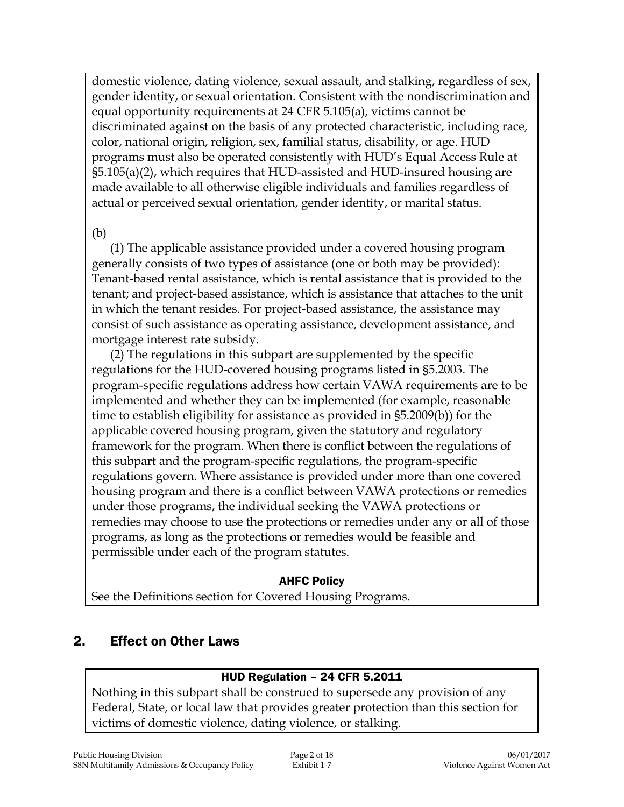domestic violence, dating violence, sexual assault, and stalking, regardless of sex, gender identity, or sexual orientation. Consistent with the nondiscrimination and equal opportunity requirements at 24 CFR 5.105(a), victims cannot be discriminated against on the basis of any protected characteristic, including race, color, national origin, religion, sex, familial status, disability, or age. HUD programs must also be operated consistently with HUD's Equal Access Rule at §5.105(a)(2), which requires that HUD-assisted and HUD-insured housing are made available to all otherwise eligible individuals and families regardless of actual or perceived sexual orientation, gender identity, or marital status.

### (b)

(1) The applicable assistance provided under a covered housing program generally consists of two types of assistance (one or both may be provided): Tenant-based rental assistance, which is rental assistance that is provided to the tenant; and project-based assistance, which is assistance that attaches to the unit in which the tenant resides. For project-based assistance, the assistance may consist of such assistance as operating assistance, development assistance, and mortgage interest rate subsidy.

(2) The regulations in this subpart are supplemented by the specific regulations for the HUD-covered housing programs listed in §5.2003. The program-specific regulations address how certain VAWA requirements are to be implemented and whether they can be implemented (for example, reasonable time to establish eligibility for assistance as provided in §5.2009(b)) for the applicable covered housing program, given the statutory and regulatory framework for the program. When there is conflict between the regulations of this subpart and the program-specific regulations, the program-specific regulations govern. Where assistance is provided under more than one covered housing program and there is a conflict between VAWA protections or remedies under those programs, the individual seeking the VAWA protections or remedies may choose to use the protections or remedies under any or all of those programs, as long as the protections or remedies would be feasible and permissible under each of the program statutes.

### AHFC Policy

See the Definitions section for Covered Housing Programs.

# 2. Effect on Other Laws

# HUD Regulation – 24 CFR 5.2011

Nothing in this subpart shall be construed to supersede any provision of any Federal, State, or local law that provides greater protection than this section for victims of domestic violence, dating violence, or stalking.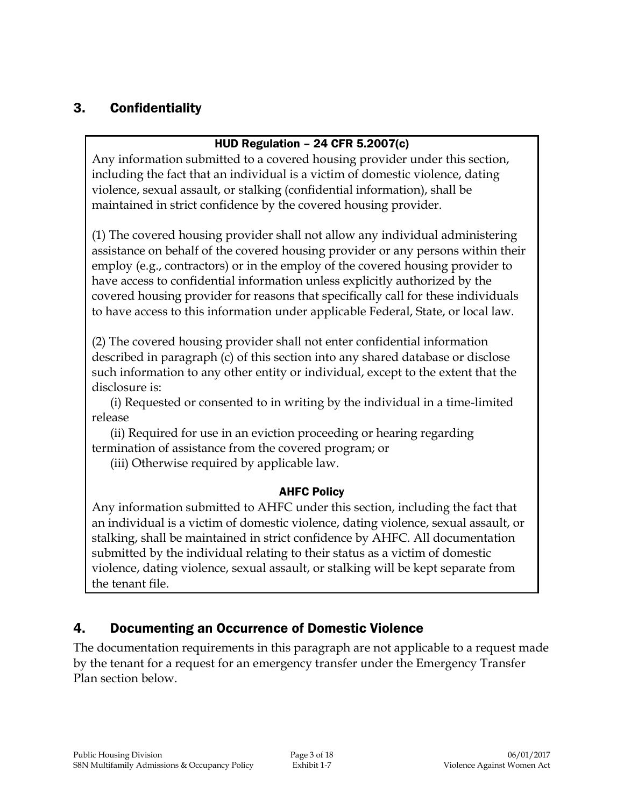# 3. Confidentiality

### HUD Regulation – 24 CFR 5.2007(c)

Any information submitted to a covered housing provider under this section, including the fact that an individual is a victim of domestic violence, dating violence, sexual assault, or stalking (confidential information), shall be maintained in strict confidence by the covered housing provider.

(1) The covered housing provider shall not allow any individual administering assistance on behalf of the covered housing provider or any persons within their employ (e.g., contractors) or in the employ of the covered housing provider to have access to confidential information unless explicitly authorized by the covered housing provider for reasons that specifically call for these individuals to have access to this information under applicable Federal, State, or local law.

(2) The covered housing provider shall not enter confidential information described in paragraph (c) of this section into any shared database or disclose such information to any other entity or individual, except to the extent that the disclosure is:

(i) Requested or consented to in writing by the individual in a time-limited release

(ii) Required for use in an eviction proceeding or hearing regarding termination of assistance from the covered program; or

(iii) Otherwise required by applicable law.

### AHFC Policy

Any information submitted to AHFC under this section, including the fact that an individual is a victim of domestic violence, dating violence, sexual assault, or stalking, shall be maintained in strict confidence by AHFC. All documentation submitted by the individual relating to their status as a victim of domestic violence, dating violence, sexual assault, or stalking will be kept separate from the tenant file.

# 4. Documenting an Occurrence of Domestic Violence

The documentation requirements in this paragraph are not applicable to a request made by the tenant for a request for an emergency transfer under the Emergency Transfer Plan section below.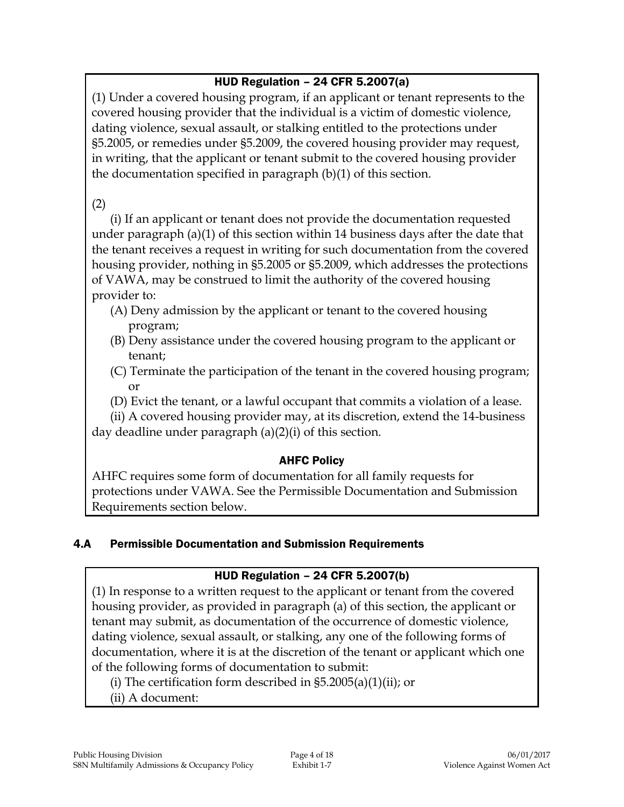# HUD Regulation – 24 CFR 5.2007(a)

(1) Under a covered housing program, if an applicant or tenant represents to the covered housing provider that the individual is a victim of domestic violence, dating violence, sexual assault, or stalking entitled to the protections under §5.2005, or remedies under §5.2009, the covered housing provider may request, in writing, that the applicant or tenant submit to the covered housing provider the documentation specified in paragraph (b)(1) of this section.

# (2)

(i) If an applicant or tenant does not provide the documentation requested under paragraph (a)(1) of this section within 14 business days after the date that the tenant receives a request in writing for such documentation from the covered housing provider, nothing in §5.2005 or §5.2009, which addresses the protections of VAWA, may be construed to limit the authority of the covered housing provider to:

- (A) Deny admission by the applicant or tenant to the covered housing program;
- (B) Deny assistance under the covered housing program to the applicant or tenant;
- (C) Terminate the participation of the tenant in the covered housing program; or
- (D) Evict the tenant, or a lawful occupant that commits a violation of a lease.

(ii) A covered housing provider may, at its discretion, extend the 14-business day deadline under paragraph (a)(2)(i) of this section.

# AHFC Policy

AHFC requires some form of documentation for all family requests for protections under VAWA. See the Permissible Documentation and Submission Requirements section below.

# 4.A Permissible Documentation and Submission Requirements

# HUD Regulation – 24 CFR 5.2007(b)

(1) In response to a written request to the applicant or tenant from the covered housing provider, as provided in paragraph (a) of this section, the applicant or tenant may submit, as documentation of the occurrence of domestic violence, dating violence, sexual assault, or stalking, any one of the following forms of documentation, where it is at the discretion of the tenant or applicant which one of the following forms of documentation to submit:

(i) The certification form described in  $\S5.2005(a)(1)(ii)$ ; or

(ii) A document: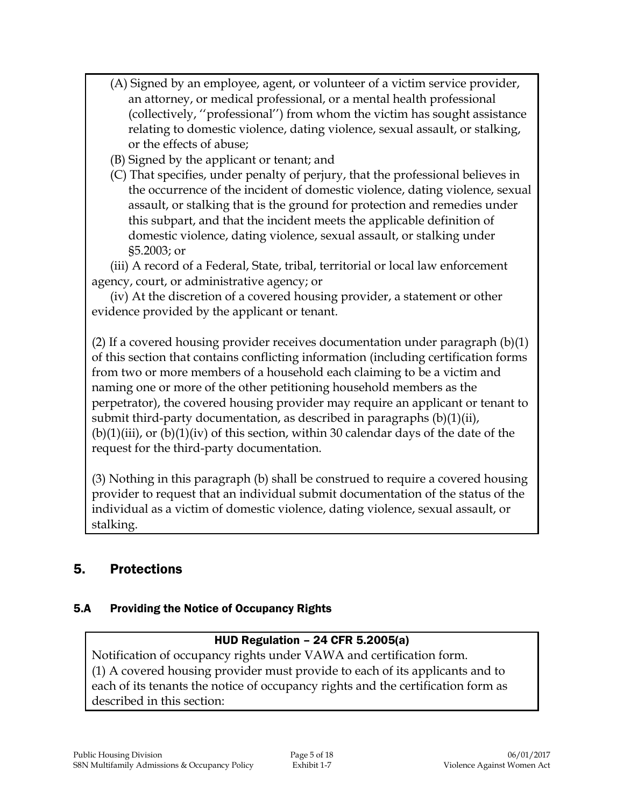- (A) Signed by an employee, agent, or volunteer of a victim service provider, an attorney, or medical professional, or a mental health professional (collectively, ''professional'') from whom the victim has sought assistance relating to domestic violence, dating violence, sexual assault, or stalking, or the effects of abuse;
- (B) Signed by the applicant or tenant; and
- (C) That specifies, under penalty of perjury, that the professional believes in the occurrence of the incident of domestic violence, dating violence, sexual assault, or stalking that is the ground for protection and remedies under this subpart, and that the incident meets the applicable definition of domestic violence, dating violence, sexual assault, or stalking under §5.2003; or

(iii) A record of a Federal, State, tribal, territorial or local law enforcement agency, court, or administrative agency; or

(iv) At the discretion of a covered housing provider, a statement or other evidence provided by the applicant or tenant.

(2) If a covered housing provider receives documentation under paragraph (b)(1) of this section that contains conflicting information (including certification forms from two or more members of a household each claiming to be a victim and naming one or more of the other petitioning household members as the perpetrator), the covered housing provider may require an applicant or tenant to submit third-party documentation, as described in paragraphs (b)(1)(ii),  $(b)(1)(iii)$ , or  $(b)(1)(iv)$  of this section, within 30 calendar days of the date of the request for the third-party documentation.

(3) Nothing in this paragraph (b) shall be construed to require a covered housing provider to request that an individual submit documentation of the status of the individual as a victim of domestic violence, dating violence, sexual assault, or stalking.

# 5. Protections

# 5.A Providing the Notice of Occupancy Rights

# HUD Regulation – 24 CFR 5.2005(a)

Notification of occupancy rights under VAWA and certification form. (1) A covered housing provider must provide to each of its applicants and to each of its tenants the notice of occupancy rights and the certification form as described in this section: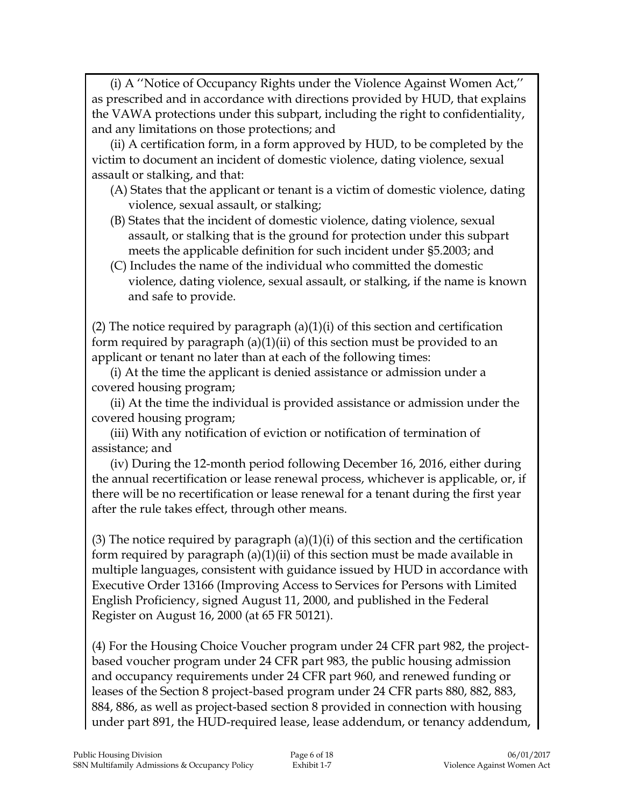(i) A ''Notice of Occupancy Rights under the Violence Against Women Act,'' as prescribed and in accordance with directions provided by HUD, that explains the VAWA protections under this subpart, including the right to confidentiality, and any limitations on those protections; and

(ii) A certification form, in a form approved by HUD, to be completed by the victim to document an incident of domestic violence, dating violence, sexual assault or stalking, and that:

- (A) States that the applicant or tenant is a victim of domestic violence, dating violence, sexual assault, or stalking;
- (B) States that the incident of domestic violence, dating violence, sexual assault, or stalking that is the ground for protection under this subpart meets the applicable definition for such incident under §5.2003; and
- (C) Includes the name of the individual who committed the domestic violence, dating violence, sexual assault, or stalking, if the name is known and safe to provide.

(2) The notice required by paragraph  $(a)(1)(i)$  of this section and certification form required by paragraph (a)(1)(ii) of this section must be provided to an applicant or tenant no later than at each of the following times:

(i) At the time the applicant is denied assistance or admission under a covered housing program;

(ii) At the time the individual is provided assistance or admission under the covered housing program;

(iii) With any notification of eviction or notification of termination of assistance; and

(iv) During the 12-month period following December 16, 2016, either during the annual recertification or lease renewal process, whichever is applicable, or, if there will be no recertification or lease renewal for a tenant during the first year after the rule takes effect, through other means.

(3) The notice required by paragraph  $(a)(1)(i)$  of this section and the certification form required by paragraph (a)(1)(ii) of this section must be made available in multiple languages, consistent with guidance issued by HUD in accordance with Executive Order 13166 (Improving Access to Services for Persons with Limited English Proficiency, signed August 11, 2000, and published in the Federal Register on August 16, 2000 (at 65 FR 50121).

(4) For the Housing Choice Voucher program under 24 CFR part 982, the projectbased voucher program under 24 CFR part 983, the public housing admission and occupancy requirements under 24 CFR part 960, and renewed funding or leases of the Section 8 project-based program under 24 CFR parts 880, 882, 883, 884, 886, as well as project-based section 8 provided in connection with housing under part 891, the HUD-required lease, lease addendum, or tenancy addendum,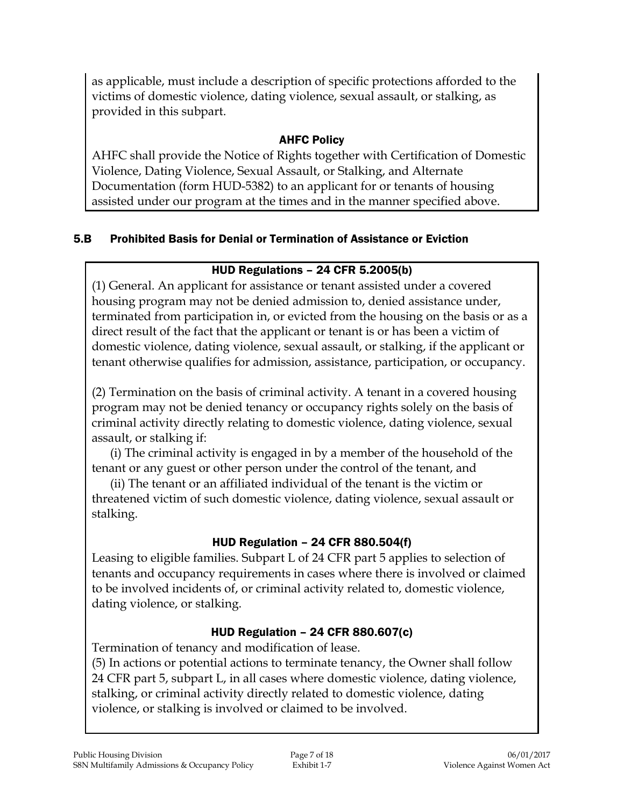as applicable, must include a description of specific protections afforded to the victims of domestic violence, dating violence, sexual assault, or stalking, as provided in this subpart.

# AHFC Policy

AHFC shall provide the Notice of Rights together with Certification of Domestic Violence, Dating Violence, Sexual Assault, or Stalking, and Alternate Documentation (form HUD-5382) to an applicant for or tenants of housing assisted under our program at the times and in the manner specified above.

# 5.B Prohibited Basis for Denial or Termination of Assistance or Eviction

# HUD Regulations – 24 CFR 5.2005(b)

(1) General. An applicant for assistance or tenant assisted under a covered housing program may not be denied admission to, denied assistance under, terminated from participation in, or evicted from the housing on the basis or as a direct result of the fact that the applicant or tenant is or has been a victim of domestic violence, dating violence, sexual assault, or stalking, if the applicant or tenant otherwise qualifies for admission, assistance, participation, or occupancy.

(2) Termination on the basis of criminal activity. A tenant in a covered housing program may not be denied tenancy or occupancy rights solely on the basis of criminal activity directly relating to domestic violence, dating violence, sexual assault, or stalking if:

(i) The criminal activity is engaged in by a member of the household of the tenant or any guest or other person under the control of the tenant, and

(ii) The tenant or an affiliated individual of the tenant is the victim or threatened victim of such domestic violence, dating violence, sexual assault or stalking.

# HUD Regulation – 24 CFR 880.504(f)

Leasing to eligible families. Subpart L of 24 CFR part 5 applies to selection of tenants and occupancy requirements in cases where there is involved or claimed to be involved incidents of, or criminal activity related to, domestic violence, dating violence, or stalking.

# HUD Regulation – 24 CFR 880.607(c)

Termination of tenancy and modification of lease.

(5) In actions or potential actions to terminate tenancy, the Owner shall follow 24 CFR part 5, subpart L, in all cases where domestic violence, dating violence, stalking, or criminal activity directly related to domestic violence, dating violence, or stalking is involved or claimed to be involved.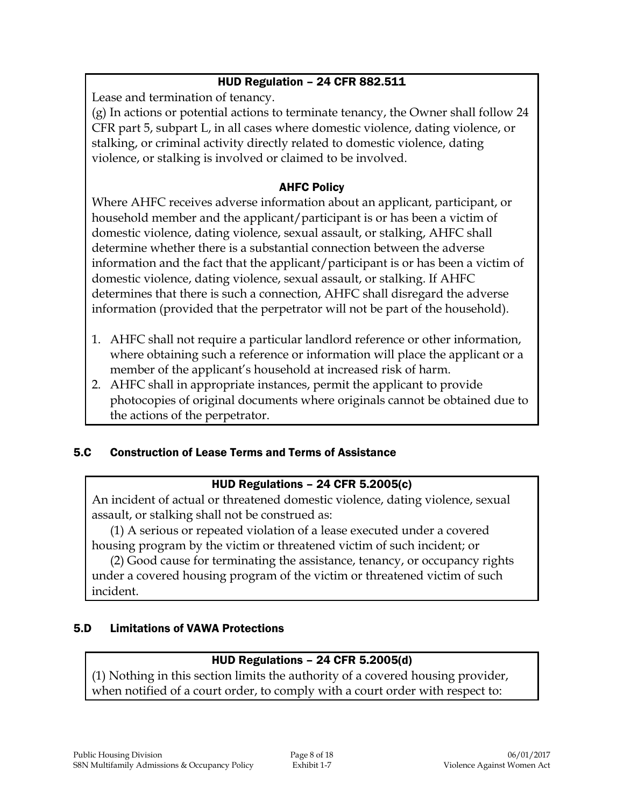### HUD Regulation – 24 CFR 882.511

Lease and termination of tenancy.

(g) In actions or potential actions to terminate tenancy, the Owner shall follow 24 CFR part 5, subpart L, in all cases where domestic violence, dating violence, or stalking, or criminal activity directly related to domestic violence, dating violence, or stalking is involved or claimed to be involved.

### AHFC Policy

Where AHFC receives adverse information about an applicant, participant, or household member and the applicant/participant is or has been a victim of domestic violence, dating violence, sexual assault, or stalking, AHFC shall determine whether there is a substantial connection between the adverse information and the fact that the applicant/participant is or has been a victim of domestic violence, dating violence, sexual assault, or stalking. If AHFC determines that there is such a connection, AHFC shall disregard the adverse information (provided that the perpetrator will not be part of the household).

- 1. AHFC shall not require a particular landlord reference or other information, where obtaining such a reference or information will place the applicant or a member of the applicant's household at increased risk of harm.
- 2. AHFC shall in appropriate instances, permit the applicant to provide photocopies of original documents where originals cannot be obtained due to the actions of the perpetrator.

# 5.C Construction of Lease Terms and Terms of Assistance

### HUD Regulations – 24 CFR 5.2005(c)

An incident of actual or threatened domestic violence, dating violence, sexual assault, or stalking shall not be construed as:

(1) A serious or repeated violation of a lease executed under a covered housing program by the victim or threatened victim of such incident; or

(2) Good cause for terminating the assistance, tenancy, or occupancy rights under a covered housing program of the victim or threatened victim of such incident.

# 5.D Limitations of VAWA Protections

# HUD Regulations – 24 CFR 5.2005(d)

(1) Nothing in this section limits the authority of a covered housing provider, when notified of a court order, to comply with a court order with respect to: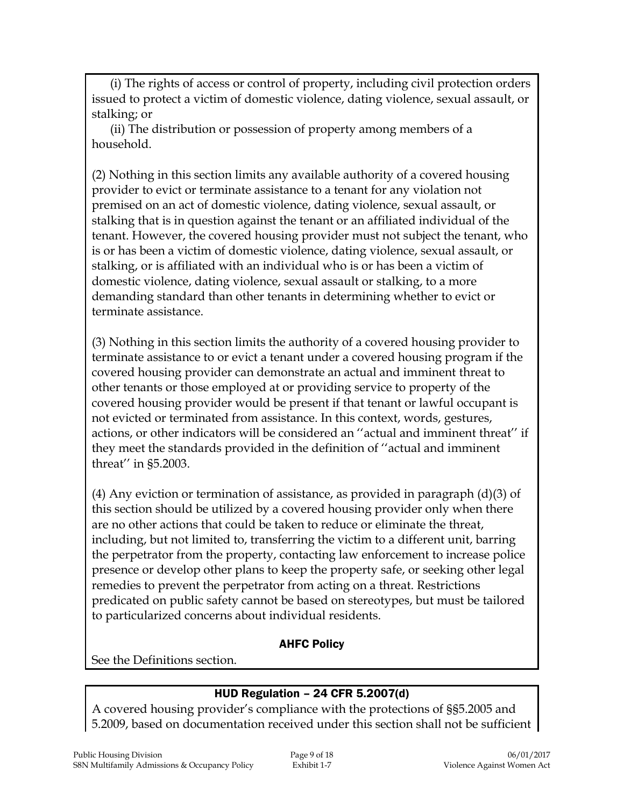(i) The rights of access or control of property, including civil protection orders issued to protect a victim of domestic violence, dating violence, sexual assault, or stalking; or

(ii) The distribution or possession of property among members of a household.

(2) Nothing in this section limits any available authority of a covered housing provider to evict or terminate assistance to a tenant for any violation not premised on an act of domestic violence, dating violence, sexual assault, or stalking that is in question against the tenant or an affiliated individual of the tenant. However, the covered housing provider must not subject the tenant, who is or has been a victim of domestic violence, dating violence, sexual assault, or stalking, or is affiliated with an individual who is or has been a victim of domestic violence, dating violence, sexual assault or stalking, to a more demanding standard than other tenants in determining whether to evict or terminate assistance.

(3) Nothing in this section limits the authority of a covered housing provider to terminate assistance to or evict a tenant under a covered housing program if the covered housing provider can demonstrate an actual and imminent threat to other tenants or those employed at or providing service to property of the covered housing provider would be present if that tenant or lawful occupant is not evicted or terminated from assistance. In this context, words, gestures, actions, or other indicators will be considered an ''actual and imminent threat'' if they meet the standards provided in the definition of ''actual and imminent threat'' in §5.2003.

(4) Any eviction or termination of assistance, as provided in paragraph  $(d)(3)$  of this section should be utilized by a covered housing provider only when there are no other actions that could be taken to reduce or eliminate the threat, including, but not limited to, transferring the victim to a different unit, barring the perpetrator from the property, contacting law enforcement to increase police presence or develop other plans to keep the property safe, or seeking other legal remedies to prevent the perpetrator from acting on a threat. Restrictions predicated on public safety cannot be based on stereotypes, but must be tailored to particularized concerns about individual residents.

### AHFC Policy

See the Definitions section.

### HUD Regulation – 24 CFR 5.2007(d)

A covered housing provider's compliance with the protections of §§5.2005 and 5.2009, based on documentation received under this section shall not be sufficient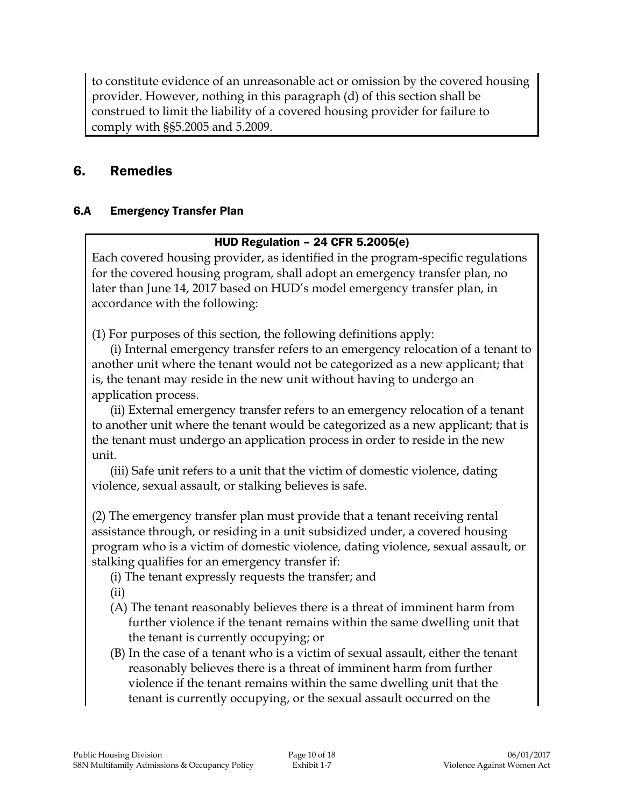to constitute evidence of an unreasonable act or omission by the covered housing provider. However, nothing in this paragraph (d) of this section shall be construed to limit the liability of a covered housing provider for failure to comply with §§5.2005 and 5.2009.

# 6. Remedies

# 6.A Emergency Transfer Plan

### HUD Regulation – 24 CFR 5.2005(e)

Each covered housing provider, as identified in the program-specific regulations for the covered housing program, shall adopt an emergency transfer plan, no later than June 14, 2017 based on HUD's model emergency transfer plan, in accordance with the following:

(1) For purposes of this section, the following definitions apply:

(i) Internal emergency transfer refers to an emergency relocation of a tenant to another unit where the tenant would not be categorized as a new applicant; that is, the tenant may reside in the new unit without having to undergo an application process.

(ii) External emergency transfer refers to an emergency relocation of a tenant to another unit where the tenant would be categorized as a new applicant; that is the tenant must undergo an application process in order to reside in the new unit.

(iii) Safe unit refers to a unit that the victim of domestic violence, dating violence, sexual assault, or stalking believes is safe.

(2) The emergency transfer plan must provide that a tenant receiving rental assistance through, or residing in a unit subsidized under, a covered housing program who is a victim of domestic violence, dating violence, sexual assault, or stalking qualifies for an emergency transfer if:

(i) The tenant expressly requests the transfer; and

(ii)

- (A) The tenant reasonably believes there is a threat of imminent harm from further violence if the tenant remains within the same dwelling unit that the tenant is currently occupying; or
- (B) In the case of a tenant who is a victim of sexual assault, either the tenant reasonably believes there is a threat of imminent harm from further violence if the tenant remains within the same dwelling unit that the tenant is currently occupying, or the sexual assault occurred on the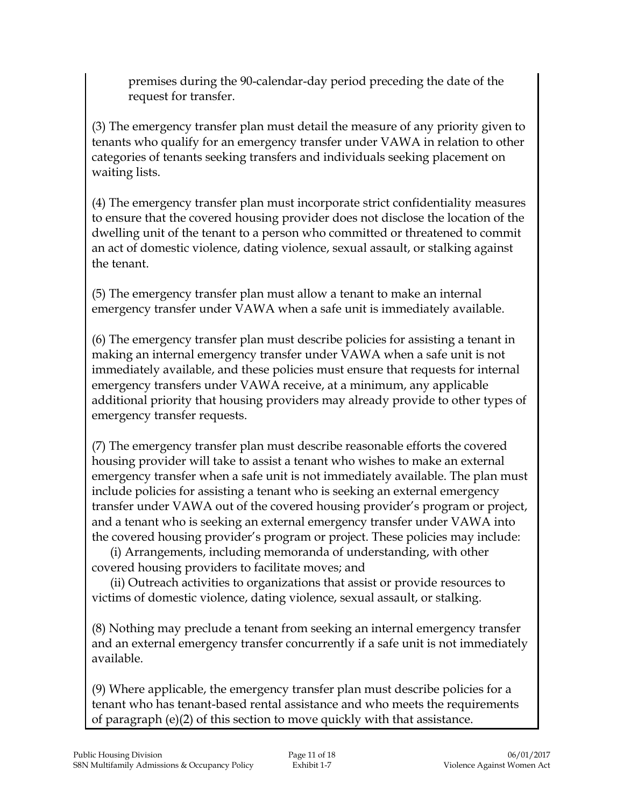premises during the 90-calendar-day period preceding the date of the request for transfer.

(3) The emergency transfer plan must detail the measure of any priority given to tenants who qualify for an emergency transfer under VAWA in relation to other categories of tenants seeking transfers and individuals seeking placement on waiting lists.

(4) The emergency transfer plan must incorporate strict confidentiality measures to ensure that the covered housing provider does not disclose the location of the dwelling unit of the tenant to a person who committed or threatened to commit an act of domestic violence, dating violence, sexual assault, or stalking against the tenant.

(5) The emergency transfer plan must allow a tenant to make an internal emergency transfer under VAWA when a safe unit is immediately available.

(6) The emergency transfer plan must describe policies for assisting a tenant in making an internal emergency transfer under VAWA when a safe unit is not immediately available, and these policies must ensure that requests for internal emergency transfers under VAWA receive, at a minimum, any applicable additional priority that housing providers may already provide to other types of emergency transfer requests.

(7) The emergency transfer plan must describe reasonable efforts the covered housing provider will take to assist a tenant who wishes to make an external emergency transfer when a safe unit is not immediately available. The plan must include policies for assisting a tenant who is seeking an external emergency transfer under VAWA out of the covered housing provider's program or project, and a tenant who is seeking an external emergency transfer under VAWA into the covered housing provider's program or project. These policies may include:

(i) Arrangements, including memoranda of understanding, with other covered housing providers to facilitate moves; and

(ii) Outreach activities to organizations that assist or provide resources to victims of domestic violence, dating violence, sexual assault, or stalking.

(8) Nothing may preclude a tenant from seeking an internal emergency transfer and an external emergency transfer concurrently if a safe unit is not immediately available.

(9) Where applicable, the emergency transfer plan must describe policies for a tenant who has tenant-based rental assistance and who meets the requirements of paragraph (e)(2) of this section to move quickly with that assistance.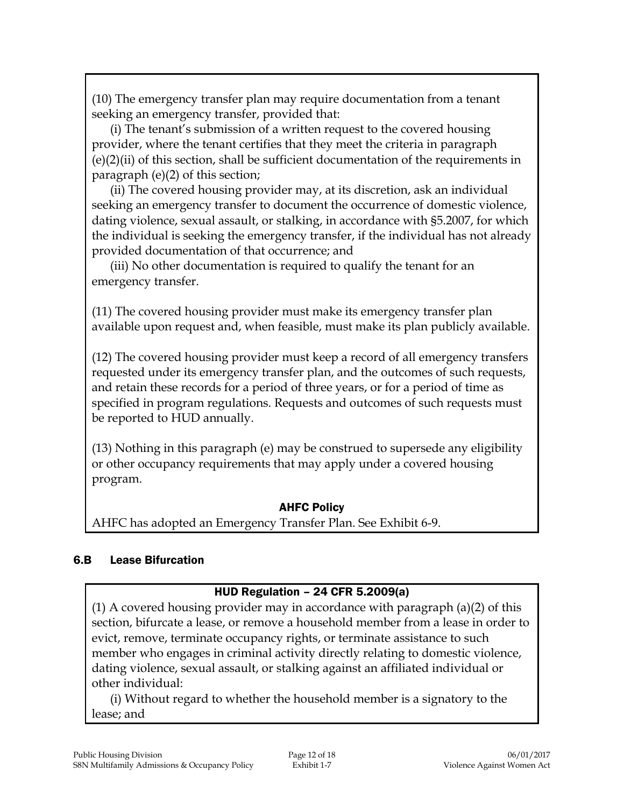(10) The emergency transfer plan may require documentation from a tenant seeking an emergency transfer, provided that:

(i) The tenant's submission of a written request to the covered housing provider, where the tenant certifies that they meet the criteria in paragraph (e)(2)(ii) of this section, shall be sufficient documentation of the requirements in paragraph (e)(2) of this section;

(ii) The covered housing provider may, at its discretion, ask an individual seeking an emergency transfer to document the occurrence of domestic violence, dating violence, sexual assault, or stalking, in accordance with §5.2007, for which the individual is seeking the emergency transfer, if the individual has not already provided documentation of that occurrence; and

(iii) No other documentation is required to qualify the tenant for an emergency transfer.

(11) The covered housing provider must make its emergency transfer plan available upon request and, when feasible, must make its plan publicly available.

(12) The covered housing provider must keep a record of all emergency transfers requested under its emergency transfer plan, and the outcomes of such requests, and retain these records for a period of three years, or for a period of time as specified in program regulations. Requests and outcomes of such requests must be reported to HUD annually.

(13) Nothing in this paragraph (e) may be construed to supersede any eligibility or other occupancy requirements that may apply under a covered housing program.

### AHFC Policy

AHFC has adopted an Emergency Transfer Plan. See Exhibit 6-9.

# 6.B Lease Bifurcation

# HUD Regulation – 24 CFR 5.2009(a)

(1) A covered housing provider may in accordance with paragraph (a)(2) of this section, bifurcate a lease, or remove a household member from a lease in order to evict, remove, terminate occupancy rights, or terminate assistance to such member who engages in criminal activity directly relating to domestic violence, dating violence, sexual assault, or stalking against an affiliated individual or other individual:

(i) Without regard to whether the household member is a signatory to the lease; and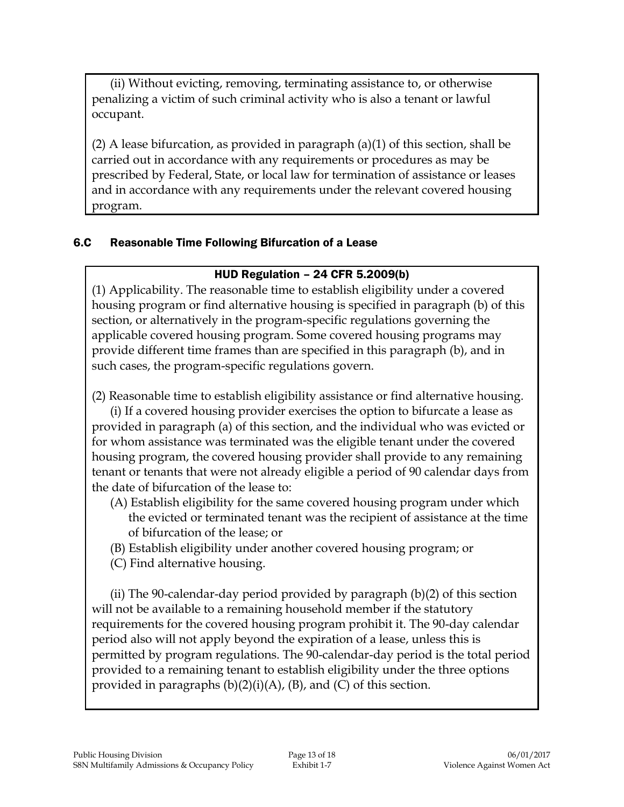(ii) Without evicting, removing, terminating assistance to, or otherwise penalizing a victim of such criminal activity who is also a tenant or lawful occupant.

(2) A lease bifurcation, as provided in paragraph (a)(1) of this section, shall be carried out in accordance with any requirements or procedures as may be prescribed by Federal, State, or local law for termination of assistance or leases and in accordance with any requirements under the relevant covered housing program.

#### 6.C Reasonable Time Following Bifurcation of a Lease

### HUD Regulation – 24 CFR 5.2009(b)

(1) Applicability. The reasonable time to establish eligibility under a covered housing program or find alternative housing is specified in paragraph (b) of this section, or alternatively in the program-specific regulations governing the applicable covered housing program. Some covered housing programs may provide different time frames than are specified in this paragraph (b), and in such cases, the program-specific regulations govern.

(2) Reasonable time to establish eligibility assistance or find alternative housing.

(i) If a covered housing provider exercises the option to bifurcate a lease as provided in paragraph (a) of this section, and the individual who was evicted or for whom assistance was terminated was the eligible tenant under the covered housing program, the covered housing provider shall provide to any remaining tenant or tenants that were not already eligible a period of 90 calendar days from the date of bifurcation of the lease to:

- (A) Establish eligibility for the same covered housing program under which the evicted or terminated tenant was the recipient of assistance at the time of bifurcation of the lease; or
- (B) Establish eligibility under another covered housing program; or
- (C) Find alternative housing.

(ii) The 90-calendar-day period provided by paragraph (b)(2) of this section will not be available to a remaining household member if the statutory requirements for the covered housing program prohibit it. The 90-day calendar period also will not apply beyond the expiration of a lease, unless this is permitted by program regulations. The 90-calendar-day period is the total period provided to a remaining tenant to establish eligibility under the three options provided in paragraphs  $(b)(2)(i)(A)$ ,  $(B)$ , and  $(C)$  of this section.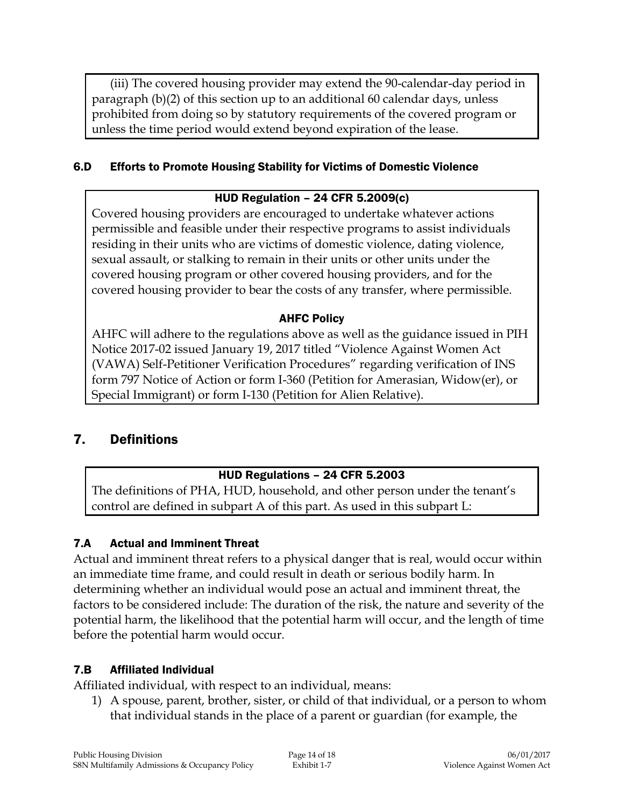(iii) The covered housing provider may extend the 90-calendar-day period in paragraph (b)(2) of this section up to an additional 60 calendar days, unless prohibited from doing so by statutory requirements of the covered program or unless the time period would extend beyond expiration of the lease.

#### 6.D Efforts to Promote Housing Stability for Victims of Domestic Violence

#### HUD Regulation – 24 CFR 5.2009(c)

Covered housing providers are encouraged to undertake whatever actions permissible and feasible under their respective programs to assist individuals residing in their units who are victims of domestic violence, dating violence, sexual assault, or stalking to remain in their units or other units under the covered housing program or other covered housing providers, and for the covered housing provider to bear the costs of any transfer, where permissible.

#### AHFC Policy

AHFC will adhere to the regulations above as well as the guidance issued in PIH Notice 2017-02 issued January 19, 2017 titled "Violence Against Women Act (VAWA) Self-Petitioner Verification Procedures" regarding verification of INS form 797 Notice of Action or form I-360 (Petition for Amerasian, Widow(er), or Special Immigrant) or form I-130 (Petition for Alien Relative).

### 7. Definitions

#### HUD Regulations – 24 CFR 5.2003

The definitions of PHA, HUD, household, and other person under the tenant's control are defined in subpart A of this part. As used in this subpart L:

### 7.A Actual and Imminent Threat

Actual and imminent threat refers to a physical danger that is real, would occur within an immediate time frame, and could result in death or serious bodily harm. In determining whether an individual would pose an actual and imminent threat, the factors to be considered include: The duration of the risk, the nature and severity of the potential harm, the likelihood that the potential harm will occur, and the length of time before the potential harm would occur.

#### 7.B Affiliated Individual

Affiliated individual, with respect to an individual, means:

1) A spouse, parent, brother, sister, or child of that individual, or a person to whom that individual stands in the place of a parent or guardian (for example, the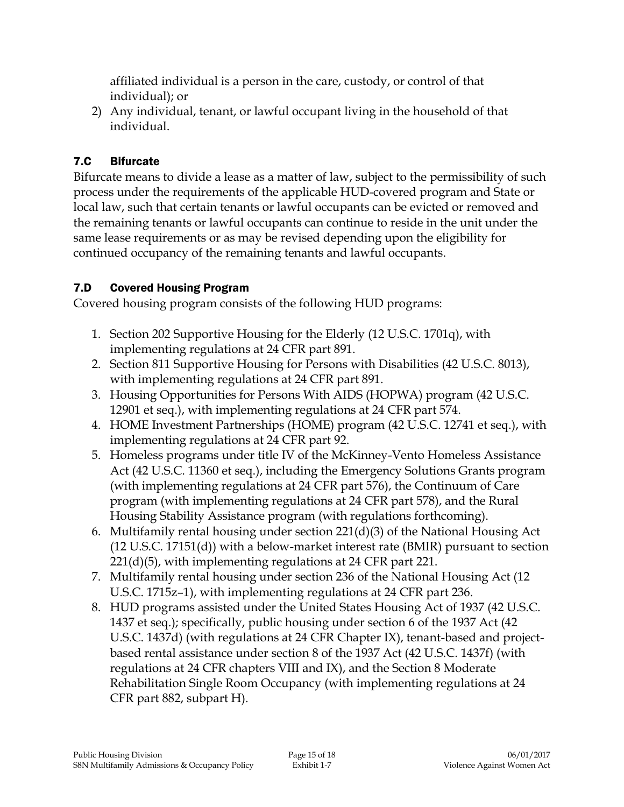affiliated individual is a person in the care, custody, or control of that individual); or

2) Any individual, tenant, or lawful occupant living in the household of that individual.

# 7.C Bifurcate

Bifurcate means to divide a lease as a matter of law, subject to the permissibility of such process under the requirements of the applicable HUD-covered program and State or local law, such that certain tenants or lawful occupants can be evicted or removed and the remaining tenants or lawful occupants can continue to reside in the unit under the same lease requirements or as may be revised depending upon the eligibility for continued occupancy of the remaining tenants and lawful occupants.

# 7.D Covered Housing Program

Covered housing program consists of the following HUD programs:

- 1. Section 202 Supportive Housing for the Elderly (12 U.S.C. 1701q), with implementing regulations at 24 CFR part 891.
- 2. Section 811 Supportive Housing for Persons with Disabilities (42 U.S.C. 8013), with implementing regulations at 24 CFR part 891.
- 3. Housing Opportunities for Persons With AIDS (HOPWA) program (42 U.S.C. 12901 et seq.), with implementing regulations at 24 CFR part 574.
- 4. HOME Investment Partnerships (HOME) program (42 U.S.C. 12741 et seq.), with implementing regulations at 24 CFR part 92.
- 5. Homeless programs under title IV of the McKinney-Vento Homeless Assistance Act (42 U.S.C. 11360 et seq.), including the Emergency Solutions Grants program (with implementing regulations at 24 CFR part 576), the Continuum of Care program (with implementing regulations at 24 CFR part 578), and the Rural Housing Stability Assistance program (with regulations forthcoming).
- 6. Multifamily rental housing under section 221(d)(3) of the National Housing Act (12 U.S.C. 17151(d)) with a below-market interest rate (BMIR) pursuant to section 221(d)(5), with implementing regulations at 24 CFR part 221.
- 7. Multifamily rental housing under section 236 of the National Housing Act (12 U.S.C. 1715z–1), with implementing regulations at 24 CFR part 236.
- 8. HUD programs assisted under the United States Housing Act of 1937 (42 U.S.C. 1437 et seq.); specifically, public housing under section 6 of the 1937 Act (42 U.S.C. 1437d) (with regulations at 24 CFR Chapter IX), tenant-based and projectbased rental assistance under section 8 of the 1937 Act (42 U.S.C. 1437f) (with regulations at 24 CFR chapters VIII and IX), and the Section 8 Moderate Rehabilitation Single Room Occupancy (with implementing regulations at 24 CFR part 882, subpart H).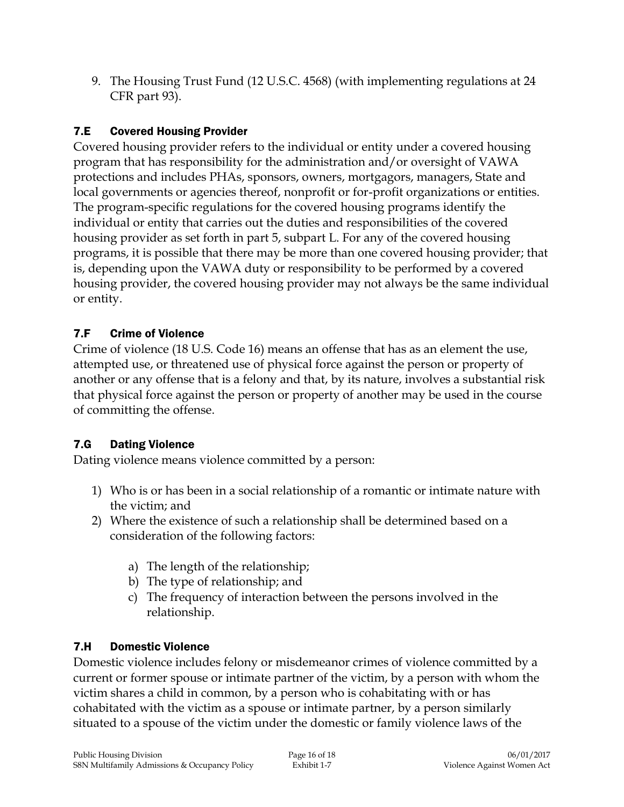9. The Housing Trust Fund (12 U.S.C. 4568) (with implementing regulations at 24 CFR part 93).

# 7.E Covered Housing Provider

Covered housing provider refers to the individual or entity under a covered housing program that has responsibility for the administration and/or oversight of VAWA protections and includes PHAs, sponsors, owners, mortgagors, managers, State and local governments or agencies thereof, nonprofit or for-profit organizations or entities. The program-specific regulations for the covered housing programs identify the individual or entity that carries out the duties and responsibilities of the covered housing provider as set forth in part 5, subpart L. For any of the covered housing programs, it is possible that there may be more than one covered housing provider; that is, depending upon the VAWA duty or responsibility to be performed by a covered housing provider, the covered housing provider may not always be the same individual or entity.

# 7.F Crime of Violence

Crime of violence (18 U.S. Code 16) means an offense that has as an element the use, attempted use, or threatened use of physical force against the person or property of another or any offense that is a felony and that, by its nature, involves a substantial risk that physical force against the person or property of another may be used in the course of committing the offense.

# 7.G Dating Violence

Dating violence means violence committed by a person:

- 1) Who is or has been in a social relationship of a romantic or intimate nature with the victim; and
- 2) Where the existence of such a relationship shall be determined based on a consideration of the following factors:
	- a) The length of the relationship;
	- b) The type of relationship; and
	- c) The frequency of interaction between the persons involved in the relationship.

# 7.H Domestic Violence

Domestic violence includes felony or misdemeanor crimes of violence committed by a current or former spouse or intimate partner of the victim, by a person with whom the victim shares a child in common, by a person who is cohabitating with or has cohabitated with the victim as a spouse or intimate partner, by a person similarly situated to a spouse of the victim under the domestic or family violence laws of the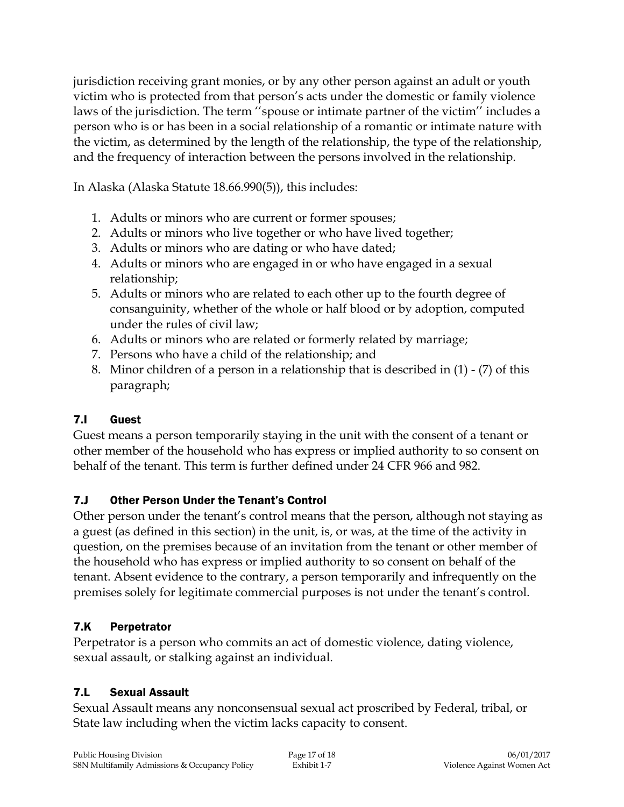jurisdiction receiving grant monies, or by any other person against an adult or youth victim who is protected from that person's acts under the domestic or family violence laws of the jurisdiction. The term ''spouse or intimate partner of the victim'' includes a person who is or has been in a social relationship of a romantic or intimate nature with the victim, as determined by the length of the relationship, the type of the relationship, and the frequency of interaction between the persons involved in the relationship.

In Alaska (Alaska Statute 18.66.990(5)), this includes:

- 1. Adults or minors who are current or former spouses;
- 2. Adults or minors who live together or who have lived together;
- 3. Adults or minors who are dating or who have dated;
- 4. Adults or minors who are engaged in or who have engaged in a sexual relationship;
- 5. Adults or minors who are related to each other up to the fourth degree of consanguinity, whether of the whole or half blood or by adoption, computed under the rules of civil law;
- 6. Adults or minors who are related or formerly related by marriage;
- 7. Persons who have a child of the relationship; and
- 8. Minor children of a person in a relationship that is described in (1) (7) of this paragraph;

# 7.I Guest

Guest means a person temporarily staying in the unit with the consent of a tenant or other member of the household who has express or implied authority to so consent on behalf of the tenant. This term is further defined under 24 CFR 966 and 982.

# 7.J Other Person Under the Tenant's Control

Other person under the tenant's control means that the person, although not staying as a guest (as defined in this section) in the unit, is, or was, at the time of the activity in question, on the premises because of an invitation from the tenant or other member of the household who has express or implied authority to so consent on behalf of the tenant. Absent evidence to the contrary, a person temporarily and infrequently on the premises solely for legitimate commercial purposes is not under the tenant's control.

# 7.K Perpetrator

Perpetrator is a person who commits an act of domestic violence, dating violence, sexual assault, or stalking against an individual.

# 7.L Sexual Assault

Sexual Assault means any nonconsensual sexual act proscribed by Federal, tribal, or State law including when the victim lacks capacity to consent.